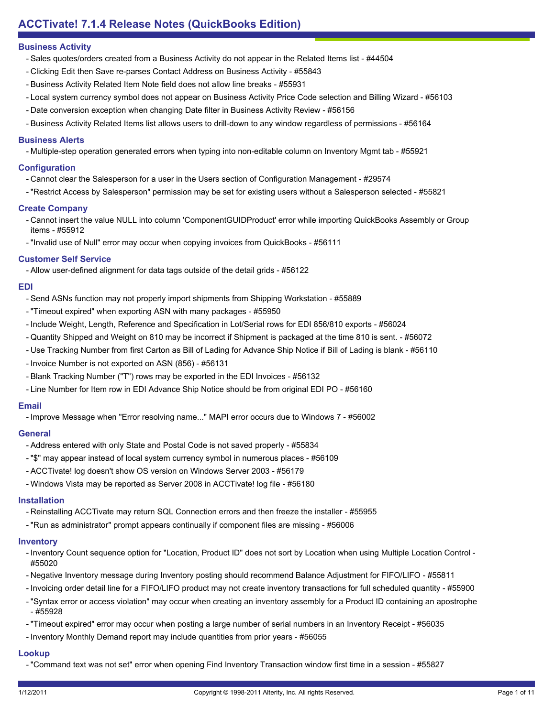- Sales quotes/orders created from a Business Activity do not appear in the Related Items list #44504
- Clicking Edit then Save re-parses Contact Address on Business Activity #55843
- Business Activity Related Item Note field does not allow line breaks #55931
- Local system currency symbol does not appear on Business Activity Price Code selection and Billing Wizard #56103
- Date conversion exception when changing Date filter in Business Activity Review #56156
- Business Activity Related Items list allows users to drill-down to any window regardless of permissions #56164

## **Business Alerts**

- Multiple-step operation generated errors when typing into non-editable column on Inventory Mgmt tab - #55921

#### **Configuration**

- Cannot clear the Salesperson for a user in the Users section of Configuration Management #29574
- "Restrict Access by Salesperson" permission may be set for existing users without a Salesperson selected #55821

#### **Create Company**

- Cannot insert the value NULL into column 'ComponentGUIDProduct' error while importing QuickBooks Assembly or Group items - #55912
- "Invalid use of Null" error may occur when copying invoices from QuickBooks #56111

## **Customer Self Service**

- Allow user-defined alignment for data tags outside of the detail grids - #56122

#### **EDI**

- Send ASNs function may not properly import shipments from Shipping Workstation #55889
- "Timeout expired" when exporting ASN with many packages #55950
- Include Weight, Length, Reference and Specification in Lot/Serial rows for EDI 856/810 exports #56024
- Quantity Shipped and Weight on 810 may be incorrect if Shipment is packaged at the time 810 is sent. #56072
- Use Tracking Number from first Carton as Bill of Lading for Advance Ship Notice if Bill of Lading is blank #56110
- Invoice Number is not exported on ASN (856) #56131
- Blank Tracking Number ("T") rows may be exported in the EDI Invoices #56132
- Line Number for Item row in EDI Advance Ship Notice should be from original EDI PO #56160

#### **Email**

- Improve Message when "Error resolving name..." MAPI error occurs due to Windows 7 - #56002

#### **General**

- Address entered with only State and Postal Code is not saved properly #55834
- "\$" may appear instead of local system currency symbol in numerous places #56109
- ACCTivate! log doesn't show OS version on Windows Server 2003 #56179
- Windows Vista may be reported as Server 2008 in ACCTivate! log file #56180

## **Installation**

- Reinstalling ACCTivate may return SQL Connection errors and then freeze the installer #55955
- "Run as administrator" prompt appears continually if component files are missing #56006

## **Inventory**

- Inventory Count sequence option for "Location, Product ID" does not sort by Location when using Multiple Location Control -#55020
- Negative Inventory message during Inventory posting should recommend Balance Adjustment for FIFO/LIFO #55811
- Invoicing order detail line for a FIFO/LIFO product may not create inventory transactions for full scheduled quantity #55900
- "Syntax error or access violation" may occur when creating an inventory assembly for a Product ID containing an apostrophe - #55928
- "Timeout expired" error may occur when posting a large number of serial numbers in an Inventory Receipt #56035
- Inventory Monthly Demand report may include quantities from prior years #56055

# **Lookup**

- "Command text was not set" error when opening Find Inventory Transaction window first time in a session - #55827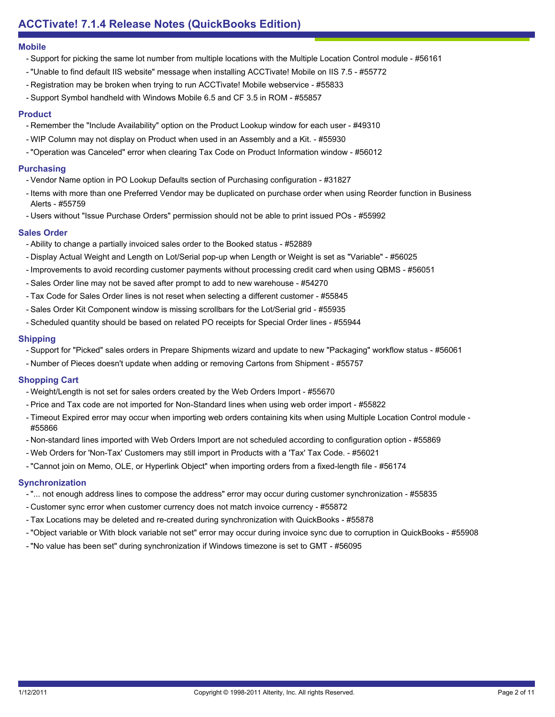#### **Mobile**

- Support for picking the same lot number from multiple locations with the Multiple Location Control module #56161
- "Unable to find default IIS website" message when installing ACCTivate! Mobile on IIS 7.5 #55772
- Registration may be broken when trying to run ACCTivate! Mobile webservice #55833
- Support Symbol handheld with Windows Mobile 6.5 and CF 3.5 in ROM #55857

## **Product**

- Remember the "Include Availability" option on the Product Lookup window for each user #49310
- WIP Column may not display on Product when used in an Assembly and a Kit. #55930
- "Operation was Canceled" error when clearing Tax Code on Product Information window #56012

#### **Purchasing**

- Vendor Name option in PO Lookup Defaults section of Purchasing configuration #31827
- Items with more than one Preferred Vendor may be duplicated on purchase order when using Reorder function in Business Alerts - #55759
- Users without "Issue Purchase Orders" permission should not be able to print issued POs #55992

## **Sales Order**

- Ability to change a partially invoiced sales order to the Booked status #52889
- Display Actual Weight and Length on Lot/Serial pop-up when Length or Weight is set as "Variable" #56025
- Improvements to avoid recording customer payments without processing credit card when using QBMS #56051
- Sales Order line may not be saved after prompt to add to new warehouse #54270
- Tax Code for Sales Order lines is not reset when selecting a different customer #55845
- Sales Order Kit Component window is missing scrollbars for the Lot/Serial grid #55935
- Scheduled quantity should be based on related PO receipts for Special Order lines #55944

## **Shipping**

- Support for "Picked" sales orders in Prepare Shipments wizard and update to new "Packaging" workflow status #56061
- Number of Pieces doesn't update when adding or removing Cartons from Shipment #55757

## **Shopping Cart**

- Weight/Length is not set for sales orders created by the Web Orders Import #55670
- Price and Tax code are not imported for Non-Standard lines when using web order import #55822
- Timeout Expired error may occur when importing web orders containing kits when using Multiple Location Control module -#55866
- Non-standard lines imported with Web Orders Import are not scheduled according to configuration option #55869
- Web Orders for 'Non-Tax' Customers may still import in Products with a 'Tax' Tax Code. #56021
- "Cannot join on Memo, OLE, or Hyperlink Object" when importing orders from a fixed-length file #56174

## **Synchronization**

- "... not enough address lines to compose the address" error may occur during customer synchronization #55835
- Customer sync error when customer currency does not match invoice currency #55872
- Tax Locations may be deleted and re-created during synchronization with QuickBooks #55878
- "Object variable or With block variable not set" error may occur during invoice sync due to corruption in QuickBooks #55908
- "No value has been set" during synchronization if Windows timezone is set to GMT #56095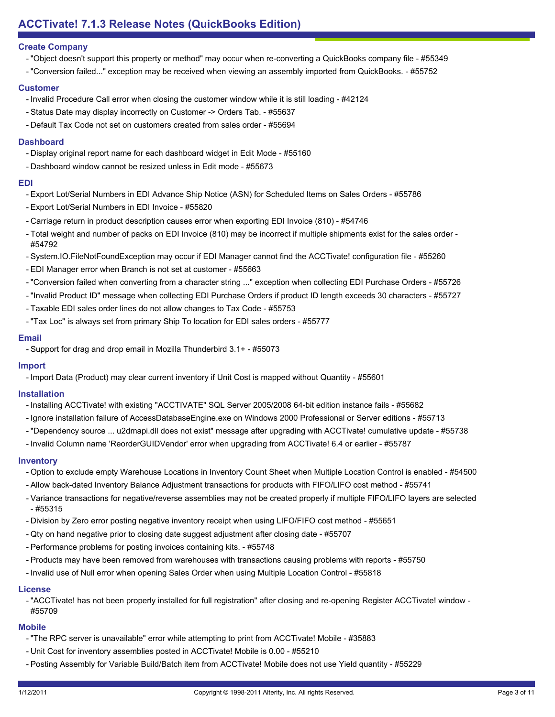## **Create Company**

- "Object doesn't support this property or method" may occur when re-converting a QuickBooks company file #55349
- "Conversion failed..." exception may be received when viewing an assembly imported from QuickBooks. #55752

## **Customer**

- Invalid Procedure Call error when closing the customer window while it is still loading #42124
- Status Date may display incorrectly on Customer -> Orders Tab. #55637
- Default Tax Code not set on customers created from sales order #55694

## **Dashboard**

- Display original report name for each dashboard widget in Edit Mode #55160
- Dashboard window cannot be resized unless in Edit mode #55673

#### **EDI**

- Export Lot/Serial Numbers in EDI Advance Ship Notice (ASN) for Scheduled Items on Sales Orders #55786
- Export Lot/Serial Numbers in EDI Invoice #55820
- Carriage return in product description causes error when exporting EDI Invoice (810) #54746
- Total weight and number of packs on EDI Invoice (810) may be incorrect if multiple shipments exist for the sales order -#54792
- System.IO.FileNotFoundException may occur if EDI Manager cannot find the ACCTivate! configuration file #55260
- EDI Manager error when Branch is not set at customer #55663
- "Conversion failed when converting from a character string ..." exception when collecting EDI Purchase Orders #55726
- "Invalid Product ID" message when collecting EDI Purchase Orders if product ID length exceeds 30 characters #55727
- Taxable EDI sales order lines do not allow changes to Tax Code #55753
- "Tax Loc" is always set from primary Ship To location for EDI sales orders #55777

#### **Email**

- Support for drag and drop email in Mozilla Thunderbird 3.1+ - #55073

## **Import**

- Import Data (Product) may clear current inventory if Unit Cost is mapped without Quantity - #55601

## **Installation**

- Installing ACCTivate! with existing "ACCTIVATE" SQL Server 2005/2008 64-bit edition instance fails #55682
- Ignore installation failure of AccessDatabaseEngine.exe on Windows 2000 Professional or Server editions #55713
- "Dependency source ... u2dmapi.dll does not exist" message after upgrading with ACCTivate! cumulative update #55738
- Invalid Column name 'ReorderGUIDVendor' error when upgrading from ACCTivate! 6.4 or earlier #55787

## **Inventory**

- Option to exclude empty Warehouse Locations in Inventory Count Sheet when Multiple Location Control is enabled #54500
- Allow back-dated Inventory Balance Adjustment transactions for products with FIFO/LIFO cost method #55741
- Variance transactions for negative/reverse assemblies may not be created properly if multiple FIFO/LIFO layers are selected - #55315
- Division by Zero error posting negative inventory receipt when using LIFO/FIFO cost method #55651
- Qty on hand negative prior to closing date suggest adjustment after closing date #55707
- Performance problems for posting invoices containing kits. #55748
- Products may have been removed from warehouses with transactions causing problems with reports #55750
- Invalid use of Null error when opening Sales Order when using Multiple Location Control #55818

## **License**

- "ACCTivate! has not been properly installed for full registration" after closing and re-opening Register ACCTivate! window -#55709

## **Mobile**

- "The RPC server is unavailable" error while attempting to print from ACCTivate! Mobile #35883
- Unit Cost for inventory assemblies posted in ACCTivate! Mobile is 0.00 #55210
- Posting Assembly for Variable Build/Batch item from ACCTivate! Mobile does not use Yield quantity #55229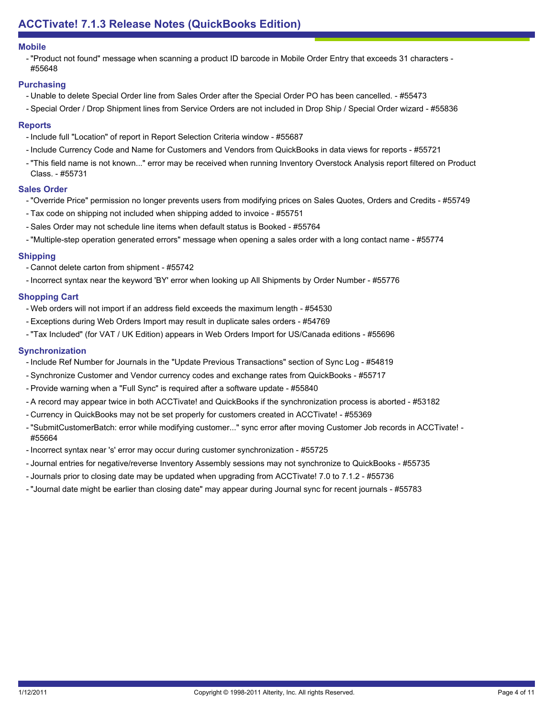#### **Mobile**

- "Product not found" message when scanning a product ID barcode in Mobile Order Entry that exceeds 31 characters -#55648

## **Purchasing**

- Unable to delete Special Order line from Sales Order after the Special Order PO has been cancelled. #55473
- Special Order / Drop Shipment lines from Service Orders are not included in Drop Ship / Special Order wizard #55836

#### **Reports**

- Include full "Location" of report in Report Selection Criteria window #55687
- Include Currency Code and Name for Customers and Vendors from QuickBooks in data views for reports #55721
- "This field name is not known..." error may be received when running Inventory Overstock Analysis report filtered on Product Class. - #55731

## **Sales Order**

- "Override Price" permission no longer prevents users from modifying prices on Sales Quotes, Orders and Credits #55749
- Tax code on shipping not included when shipping added to invoice #55751
- Sales Order may not schedule line items when default status is Booked #55764
- "Multiple-step operation generated errors" message when opening a sales order with a long contact name #55774

#### **Shipping**

- Cannot delete carton from shipment #55742
- Incorrect syntax near the keyword 'BY' error when looking up All Shipments by Order Number #55776

#### **Shopping Cart**

- Web orders will not import if an address field exceeds the maximum length #54530
- Exceptions during Web Orders Import may result in duplicate sales orders #54769
- "Tax Included" (for VAT / UK Edition) appears in Web Orders Import for US/Canada editions #55696

#### **Synchronization**

- Include Ref Number for Journals in the "Update Previous Transactions" section of Sync Log #54819
- Synchronize Customer and Vendor currency codes and exchange rates from QuickBooks #55717
- Provide warning when a "Full Sync" is required after a software update #55840
- A record may appear twice in both ACCTivate! and QuickBooks if the synchronization process is aborted #53182
- Currency in QuickBooks may not be set properly for customers created in ACCTivate! #55369
- "SubmitCustomerBatch: error while modifying customer..." sync error after moving Customer Job records in ACCTivate! -#55664
- Incorrect syntax near 's' error may occur during customer synchronization #55725
- Journal entries for negative/reverse Inventory Assembly sessions may not synchronize to QuickBooks #55735
- Journals prior to closing date may be updated when upgrading from ACCTivate! 7.0 to 7.1.2 #55736
- "Journal date might be earlier than closing date" may appear during Journal sync for recent journals #55783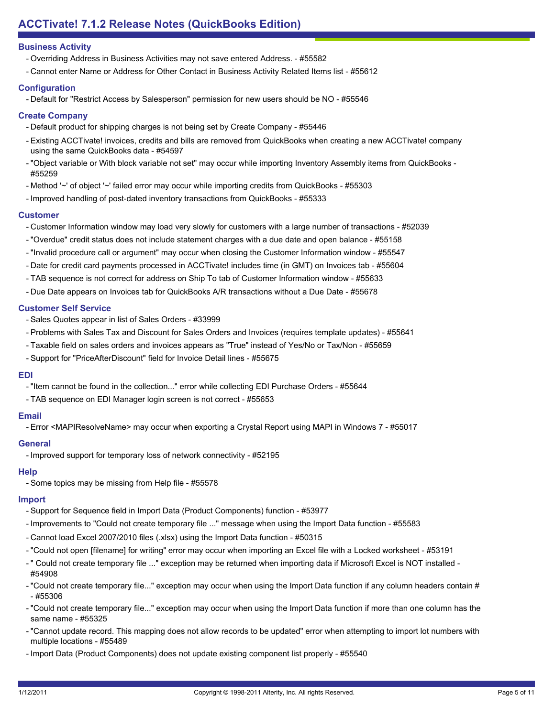- Overriding Address in Business Activities may not save entered Address. #55582
- Cannot enter Name or Address for Other Contact in Business Activity Related Items list #55612

## **Configuration**

- Default for "Restrict Access by Salesperson" permission for new users should be NO - #55546

## **Create Company**

- Default product for shipping charges is not being set by Create Company #55446
- Existing ACCTivate! invoices, credits and bills are removed from QuickBooks when creating a new ACCTivate! company using the same QuickBooks data - #54597
- "Object variable or With block variable not set" may occur while importing Inventory Assembly items from QuickBooks -#55259
- Method '~' of object '~' failed error may occur while importing credits from QuickBooks #55303
- Improved handling of post-dated inventory transactions from QuickBooks #55333

#### **Customer**

- Customer Information window may load very slowly for customers with a large number of transactions #52039
- "Overdue" credit status does not include statement charges with a due date and open balance #55158
- "Invalid procedure call or argument" may occur when closing the Customer Information window #55547
- Date for credit card payments processed in ACCTivate! includes time (in GMT) on Invoices tab #55604
- TAB sequence is not correct for address on Ship To tab of Customer Information window #55633
- Due Date appears on Invoices tab for QuickBooks A/R transactions without a Due Date #55678

## **Customer Self Service**

- Sales Quotes appear in list of Sales Orders #33999
- Problems with Sales Tax and Discount for Sales Orders and Invoices (requires template updates) #55641
- Taxable field on sales orders and invoices appears as "True" instead of Yes/No or Tax/Non #55659
- Support for "PriceAfterDiscount" field for Invoice Detail lines #55675

## **EDI**

- "Item cannot be found in the collection..." error while collecting EDI Purchase Orders #55644
- TAB sequence on EDI Manager login screen is not correct #55653

## **Email**

- Error <MAPIResolveName> may occur when exporting a Crystal Report using MAPI in Windows 7 - #55017

## **General**

- Improved support for temporary loss of network connectivity - #52195

## **Help**

- Some topics may be missing from Help file - #55578

# **Import**

- Support for Sequence field in Import Data (Product Components) function #53977
- Improvements to "Could not create temporary file ..." message when using the Import Data function #55583
- Cannot load Excel 2007/2010 files (.xlsx) using the Import Data function #50315
- "Could not open [filename] for writing" error may occur when importing an Excel file with a Locked worksheet #53191
- " Could not create temporary file ..." exception may be returned when importing data if Microsoft Excel is NOT installed -#54908
- "Could not create temporary file..." exception may occur when using the Import Data function if any column headers contain # - #55306
- "Could not create temporary file..." exception may occur when using the Import Data function if more than one column has the same name - #55325
- "Cannot update record. This mapping does not allow records to be updated" error when attempting to import lot numbers with multiple locations - #55489
- Import Data (Product Components) does not update existing component list properly #55540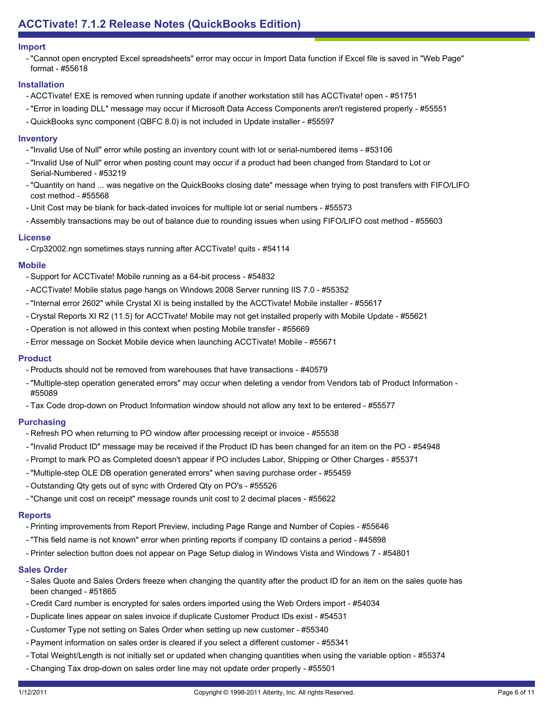#### **Import**

"Cannot open encrypted Excel spreadsheets" error may occur in Import Data function if Excel file is saved in "Web Page" format - #55618

## **Installation**

- ACCTivate! EXE is removed when running update if another workstation still has ACCTivate! open #51751
- "Error in loading DLL" message may occur if Microsoft Data Access Components aren't registered properly #55551
- QuickBooks sync component (QBFC 8.0) is not included in Update installer #55597

#### **Inventory**

- "Invalid Use of Null" error while posting an inventory count with lot or serial-numbered items #53106
- "Invalid Use of Null" error when posting count may occur if a product had been changed from Standard to Lot or Serial-Numbered - #53219
- "Quantity on hand ... was negative on the QuickBooks closing date" message when trying to post transfers with FIFO/LIFO cost method - #55568
- Unit Cost may be blank for back-dated invoices for multiple lot or serial numbers #55573
- Assembly transactions may be out of balance due to rounding issues when using FIFO/LIFO cost method #55603

#### **License**

- Crp32002.ngn sometimes stays running after ACCTivate! quits - #54114

#### **Mobile**

- Support for ACCTivate! Mobile running as a 64-bit process #54832
- ACCTivate! Mobile status page hangs on Windows 2008 Server running IIS 7.0 #55352
- "Internal error 2602" while Crystal XI is being installed by the ACCTivate! Mobile installer #55617
- Crystal Reports XI R2 (11.5) for ACCTivate! Mobile may not get installed properly with Mobile Update #55621
- Operation is not allowed in this context when posting Mobile transfer #55669
- Error message on Socket Mobile device when launching ACCTivate! Mobile #55671

## **Product**

- Products should not be removed from warehouses that have transactions #40579
- "Multiple-step operation generated errors" may occur when deleting a vendor from Vendors tab of Product Information -#55089
- Tax Code drop-down on Product Information window should not allow any text to be entered #55577

## **Purchasing**

- Refresh PO when returning to PO window after processing receipt or invoice #55538
- "Invalid Product ID" message may be received if the Product ID has been changed for an item on the PO #54948
- Prompt to mark PO as Completed doesn't appear if PO includes Labor, Shipping or Other Charges #55371
- "Multiple-step OLE DB operation generated errors" when saving purchase order #55459
- Outstanding Qty gets out of sync with Ordered Qty on PO's #55526
- "Change unit cost on receipt" message rounds unit cost to 2 decimal places #55622

#### **Reports**

- Printing improvements from Report Preview, including Page Range and Number of Copies #55646
- "This field name is not known" error when printing reports if company ID contains a period #45898
- Printer selection button does not appear on Page Setup dialog in Windows Vista and Windows 7 #54801

## **Sales Order**

- Sales Quote and Sales Orders freeze when changing the quantity after the product ID for an item on the sales quote has been changed - #51865
- Credit Card number is encrypted for sales orders imported using the Web Orders import #54034
- Duplicate lines appear on sales invoice if duplicate Customer Product IDs exist #54531
- Customer Type not setting on Sales Order when setting up new customer #55340
- Payment information on sales order is cleared if you select a different customer #55341
- Total Weight/Length is not initially set or updated when changing quantities when using the variable option #55374
- Changing Tax drop-down on sales order line may not update order properly #55501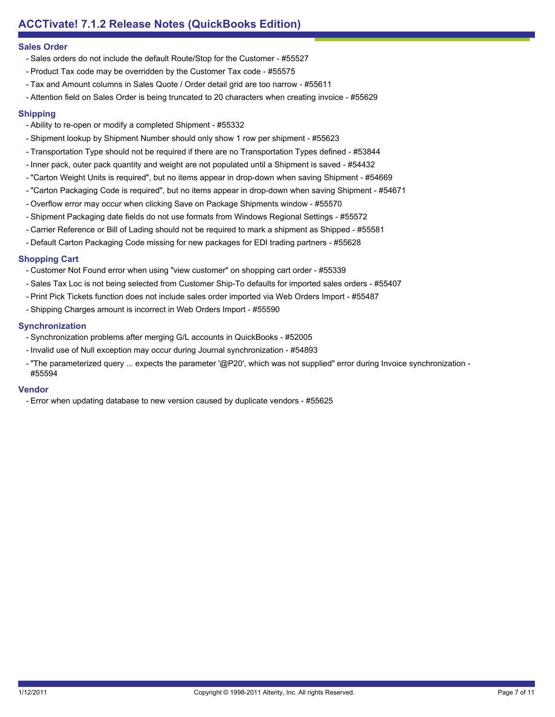#### **Sales Order**

- Sales orders do not include the default Route/Stop for the Customer #55527
- Product Tax code may be overridden by the Customer Tax code #55575
- Tax and Amount columns in Sales Quote / Order detail grid are too narrow #55611
- Attention field on Sales Order is being truncated to 20 characters when creating invoice #55629

## **Shipping**

- Ability to re-open or modify a completed Shipment #55332
- Shipment lookup by Shipment Number should only show 1 row per shipment #55623
- Transportation Type should not be required if there are no Transportation Types defined #53844
- Inner pack, outer pack quantity and weight are not populated until a Shipment is saved #54432
- "Carton Weight Units is required", but no items appear in drop-down when saving Shipment #54669
- "Carton Packaging Code is required", but no items appear in drop-down when saving Shipment #54671
- Overflow error may occur when clicking Save on Package Shipments window #55570
- Shipment Packaging date fields do not use formats from Windows Regional Settings #55572
- Carrier Reference or Bill of Lading should not be required to mark a shipment as Shipped #55581
- Default Carton Packaging Code missing for new packages for EDI trading partners #55628

## **Shopping Cart**

- Customer Not Found error when using "view customer" on shopping cart order #55339
- Sales Tax Loc is not being selected from Customer Ship-To defaults for imported sales orders #55407
- Print Pick Tickets function does not include sales order imported via Web Orders Import #55487
- Shipping Charges amount is incorrect in Web Orders Import #55590

#### **Synchronization**

- Synchronization problems after merging G/L accounts in QuickBooks #52005
- Invalid use of Null exception may occur during Journal synchronization #54893
- "The parameterized query ... expects the parameter '@P20', which was not supplied" error during Invoice synchronization -#55594

#### **Vendor**

- Error when updating database to new version caused by duplicate vendors - #55625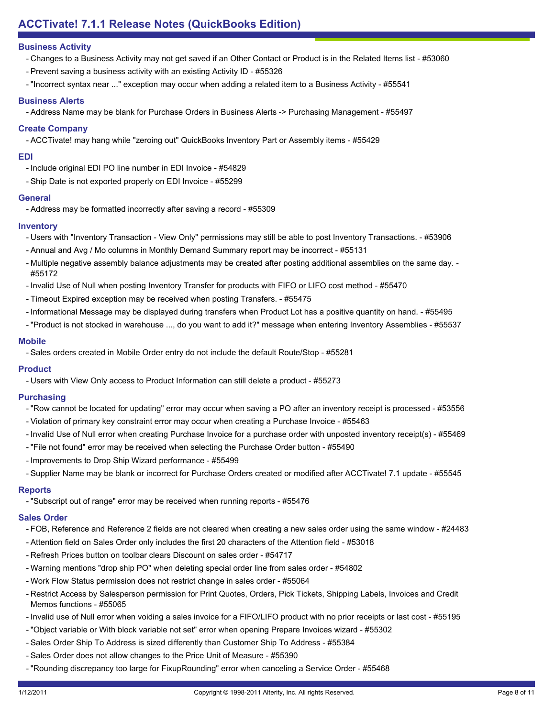- Changes to a Business Activity may not get saved if an Other Contact or Product is in the Related Items list #53060
- Prevent saving a business activity with an existing Activity ID #55326
- "Incorrect syntax near ..." exception may occur when adding a related item to a Business Activity #55541

#### **Business Alerts**

- Address Name may be blank for Purchase Orders in Business Alerts -> Purchasing Management - #55497

## **Create Company**

- ACCTivate! may hang while "zeroing out" QuickBooks Inventory Part or Assembly items - #55429

#### **EDI**

- Include original EDI PO line number in EDI Invoice #54829
- Ship Date is not exported properly on EDI Invoice #55299

#### **General**

- Address may be formatted incorrectly after saving a record - #55309

#### **Inventory**

- Users with "Inventory Transaction View Only" permissions may still be able to post Inventory Transactions. #53906
- Annual and Avg / Mo columns in Monthly Demand Summary report may be incorrect #55131
- Multiple negative assembly balance adjustments may be created after posting additional assemblies on the same day. -#55172
- Invalid Use of Null when posting Inventory Transfer for products with FIFO or LIFO cost method #55470
- Timeout Expired exception may be received when posting Transfers. #55475
- Informational Message may be displayed during transfers when Product Lot has a positive quantity on hand. #55495
- "Product is not stocked in warehouse ..., do you want to add it?" message when entering Inventory Assemblies #55537

#### **Mobile**

- Sales orders created in Mobile Order entry do not include the default Route/Stop - #55281

## **Product**

- Users with View Only access to Product Information can still delete a product - #55273

## **Purchasing**

- "Row cannot be located for updating" error may occur when saving a PO after an inventory receipt is processed #53556
- Violation of primary key constraint error may occur when creating a Purchase Invoice #55463
- Invalid Use of Null error when creating Purchase Invoice for a purchase order with unposted inventory receipt(s) #55469
- "File not found" error may be received when selecting the Purchase Order button #55490
- Improvements to Drop Ship Wizard performance #55499
- Supplier Name may be blank or incorrect for Purchase Orders created or modified after ACCTivate! 7.1 update #55545

## **Reports**

- "Subscript out of range" error may be received when running reports - #55476

## **Sales Order**

- FOB, Reference and Reference 2 fields are not cleared when creating a new sales order using the same window #24483
- Attention field on Sales Order only includes the first 20 characters of the Attention field #53018
- Refresh Prices button on toolbar clears Discount on sales order #54717
- Warning mentions "drop ship PO" when deleting special order line from sales order #54802
- Work Flow Status permission does not restrict change in sales order #55064
- Restrict Access by Salesperson permission for Print Quotes, Orders, Pick Tickets, Shipping Labels, Invoices and Credit Memos functions - #55065
- Invalid use of Null error when voiding a sales invoice for a FIFO/LIFO product with no prior receipts or last cost #55195
- "Object variable or With block variable not set" error when opening Prepare Invoices wizard #55302
- Sales Order Ship To Address is sized differently than Customer Ship To Address #55384
- Sales Order does not allow changes to the Price Unit of Measure #55390
- "Rounding discrepancy too large for FixupRounding" error when canceling a Service Order #55468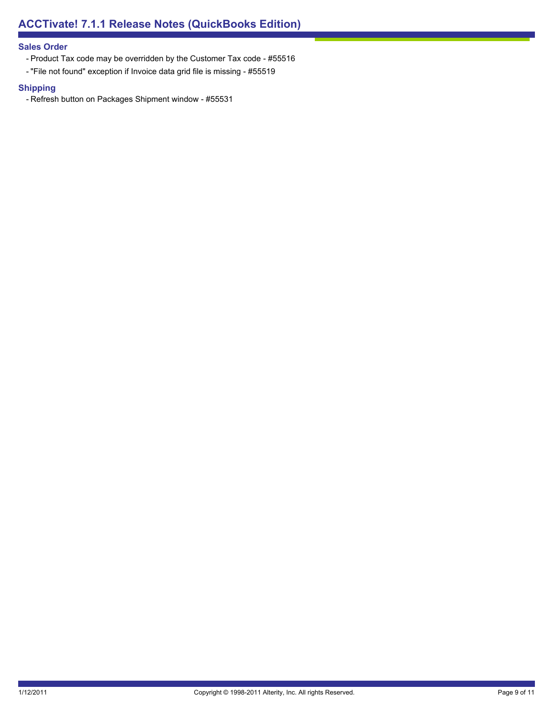## **Sales Order**

- Product Tax code may be overridden by the Customer Tax code #55516
- "File not found" exception if Invoice data grid file is missing #55519

## **Shipping**

- Refresh button on Packages Shipment window - #55531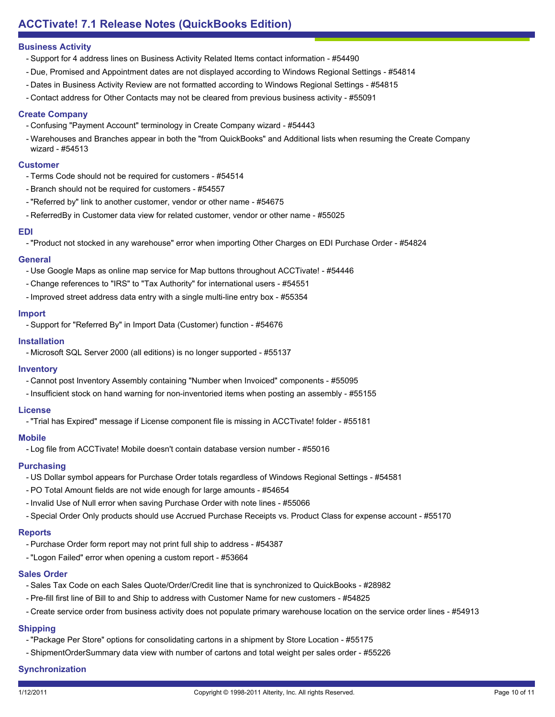- Support for 4 address lines on Business Activity Related Items contact information #54490
- Due, Promised and Appointment dates are not displayed according to Windows Regional Settings #54814
- Dates in Business Activity Review are not formatted according to Windows Regional Settings #54815
- Contact address for Other Contacts may not be cleared from previous business activity #55091

## **Create Company**

- Confusing "Payment Account" terminology in Create Company wizard #54443
- Warehouses and Branches appear in both the "from QuickBooks" and Additional lists when resuming the Create Company wizard - #54513

#### **Customer**

- Terms Code should not be required for customers #54514
- Branch should not be required for customers #54557
- "Referred by" link to another customer, vendor or other name #54675
- ReferredBy in Customer data view for related customer, vendor or other name #55025

#### **EDI**

- "Product not stocked in any warehouse" error when importing Other Charges on EDI Purchase Order - #54824

#### **General**

- Use Google Maps as online map service for Map buttons throughout ACCTivate! #54446
- Change references to "IRS" to "Tax Authority" for international users #54551
- Improved street address data entry with a single multi-line entry box #55354

#### **Import**

- Support for "Referred By" in Import Data (Customer) function - #54676

#### **Installation**

- Microsoft SQL Server 2000 (all editions) is no longer supported - #55137

## **Inventory**

- Cannot post Inventory Assembly containing "Number when Invoiced" components #55095
- Insufficient stock on hand warning for non-inventoried items when posting an assembly #55155

#### **License**

- "Trial has Expired" message if License component file is missing in ACCTivate! folder - #55181

## **Mobile**

- Log file from ACCTivate! Mobile doesn't contain database version number - #55016

## **Purchasing**

- US Dollar symbol appears for Purchase Order totals regardless of Windows Regional Settings #54581
- PO Total Amount fields are not wide enough for large amounts #54654
- Invalid Use of Null error when saving Purchase Order with note lines #55066
- Special Order Only products should use Accrued Purchase Receipts vs. Product Class for expense account #55170

# **Reports**

- Purchase Order form report may not print full ship to address #54387
- "Logon Failed" error when opening a custom report #53664

## **Sales Order**

- Sales Tax Code on each Sales Quote/Order/Credit line that is synchronized to QuickBooks #28982
- Pre-fill first line of Bill to and Ship to address with Customer Name for new customers #54825
- Create service order from business activity does not populate primary warehouse location on the service order lines #54913

# **Shipping**

- "Package Per Store" options for consolidating cartons in a shipment by Store Location #55175
- ShipmentOrderSummary data view with number of cartons and total weight per sales order #55226

# **Synchronization**